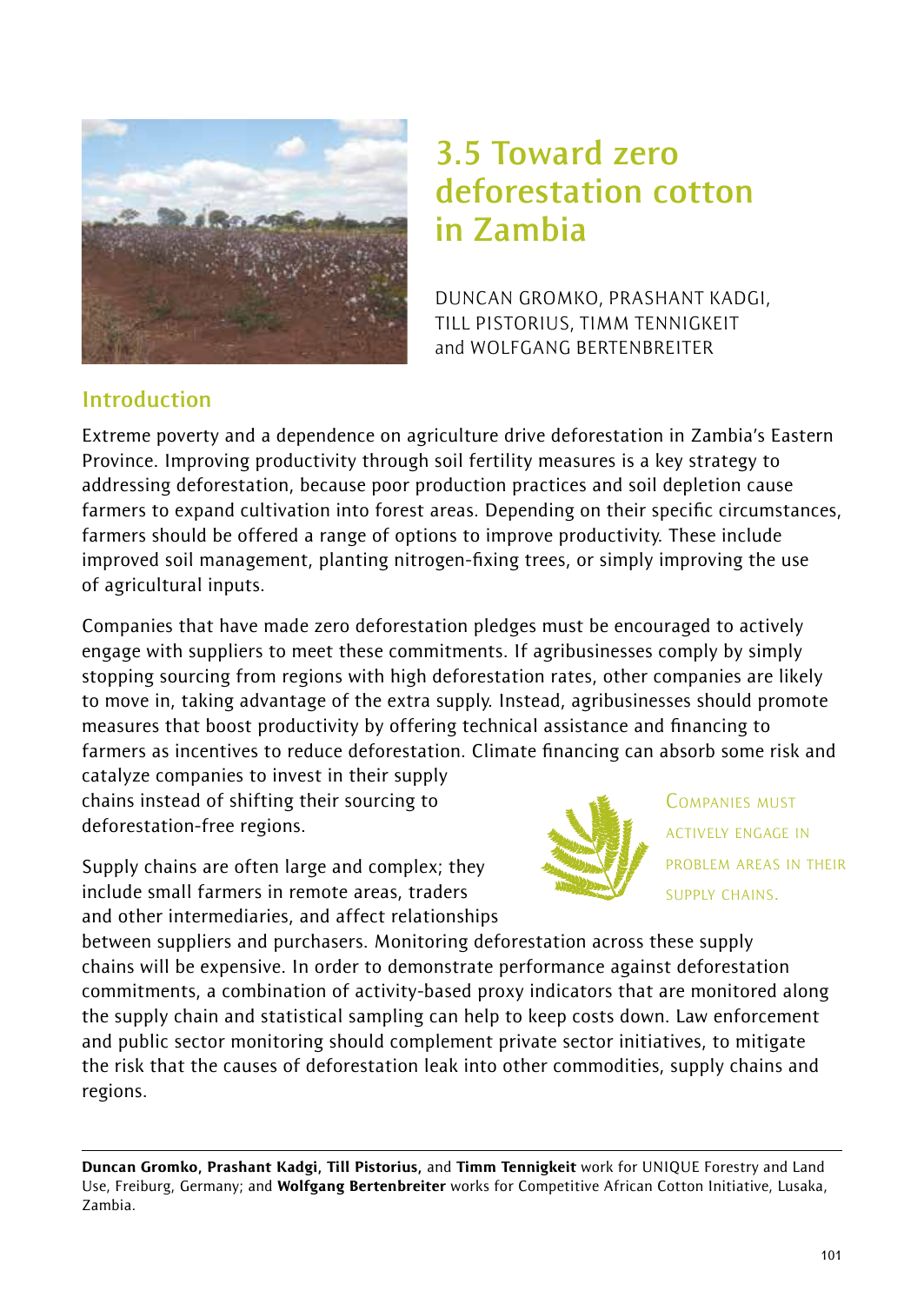

# **3.5 Toward zero deforestation cotton in Zambia**

DUNCAN GROMKO, PRASHANT KADGI, TILL PISTORIUS, TIMM TENNIGKEIT and WOLFGANG BERTENBREITER

## **Introduction**

Extreme poverty and a dependence on agriculture drive deforestation in Zambia's Eastern Province. Improving productivity through soil fertility measures is a key strategy to addressing deforestation, because poor production practices and soil depletion cause farmers to expand cultivation into forest areas. Depending on their specific circumstances, farmers should be offered a range of options to improve productivity. These include improved soil management, planting nitrogen-fixing trees, or simply improving the use of agricultural inputs.

Companies that have made zero deforestation pledges must be encouraged to actively engage with suppliers to meet these commitments. If agribusinesses comply by simply stopping sourcing from regions with high deforestation rates, other companies are likely to move in, taking advantage of the extra supply. Instead, agribusinesses should promote measures that boost productivity by offering technical assistance and financing to farmers as incentives to reduce deforestation. Climate financing can absorb some risk and

catalyze companies to invest in their supply chains instead of shifting their sourcing to deforestation-free regions.

Supply chains are often large and complex; they include small farmers in remote areas, traders and other intermediaries, and affect relationships



COMPANIES MUST ACTIVELY ENGAGE IN PROBLEM AREAS IN THEIR SUPPLY CHAINS.

between suppliers and purchasers. Monitoring deforestation across these supply chains will be expensive. In order to demonstrate performance against deforestation commitments, a combination of activity-based proxy indicators that are monitored along the supply chain and statistical sampling can help to keep costs down. Law enforcement and public sector monitoring should complement private sector initiatives, to mitigate the risk that the causes of deforestation leak into other commodities, supply chains and regions.

Duncan Gromko, Prashant Kadgi, Till Pistorius, and Timm Tennigkeit work for UNIQUE Forestry and Land Use, Freiburg, Germany; and Wolfgang Bertenbreiter works for Competitive African Cotton Initiative, Lusaka, Zambia.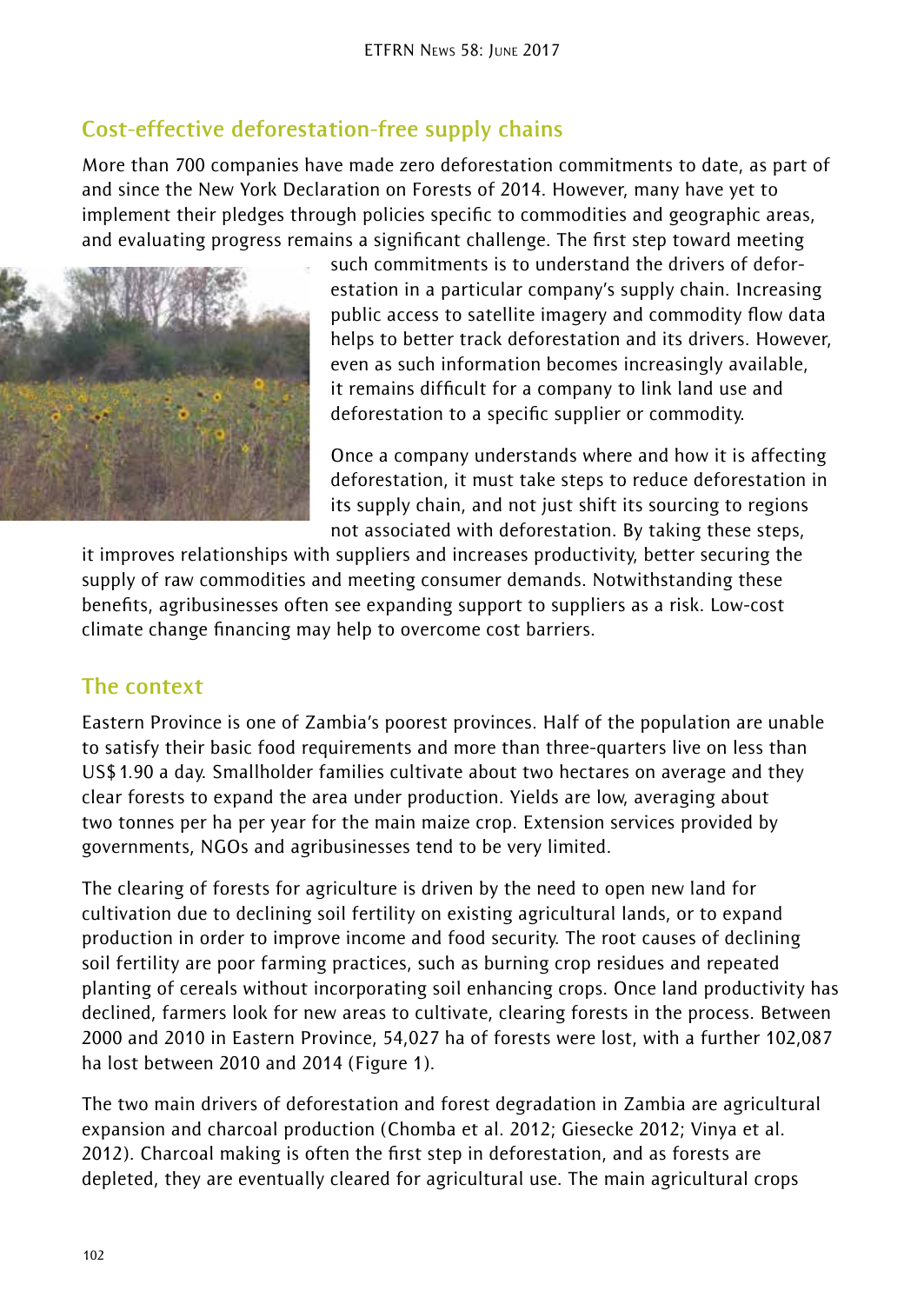## **Cost-effective deforestation-free supply chains**

More than 700 companies have made zero deforestation commitments to date, as part of and since the New York Declaration on Forests of 2014. However, many have yet to implement their pledges through policies specific to commodities and geographic areas, and evaluating progress remains a significant challenge. The first step toward meeting



such commitments is to understand the drivers of deforestation in a particular company's supply chain. Increasing public access to satellite imagery and commodity flow data helps to better track deforestation and its drivers. However, even as such information becomes increasingly available, it remains difficult for a company to link land use and deforestation to a specific supplier or commodity.

Once a company understands where and how it is affecting deforestation, it must take steps to reduce deforestation in its supply chain, and not just shift its sourcing to regions not associated with deforestation. By taking these steps,

it improves relationships with suppliers and increases productivity, better securing the supply of raw commodities and meeting consumer demands. Notwithstanding these benefits, agribusinesses often see expanding support to suppliers as a risk. Low-cost climate change financing may help to overcome cost barriers.

## **The context**

Eastern Province is one of Zambia's poorest provinces. Half of the population are unable to satisfy their basic food requirements and more than three-quarters live on less than US\$1.90 a day. Smallholder families cultivate about two hectares on average and they clear forests to expand the area under production. Yields are low, averaging about two tonnes per ha per year for the main maize crop. Extension services provided by governments, NGOs and agribusinesses tend to be very limited.

The clearing of forests for agriculture is driven by the need to open new land for cultivation due to declining soil fertility on existing agricultural lands, or to expand production in order to improve income and food security. The root causes of declining soil fertility are poor farming practices, such as burning crop residues and repeated planting of cereals without incorporating soil enhancing crops. Once land productivity has declined, farmers look for new areas to cultivate, clearing forests in the process. Between 2000 and 2010 in Eastern Province, 54,027 ha of forests were lost, with a further 102,087 ha lost between 2010 and 2014 (Figure 1).

The two main drivers of deforestation and forest degradation in Zambia are agricultural expansion and charcoal production (Chomba et al. 2012; Giesecke 2012; Vinya et al. 2012). Charcoal making is often the first step in deforestation, and as forests are depleted, they are eventually cleared for agricultural use. The main agricultural crops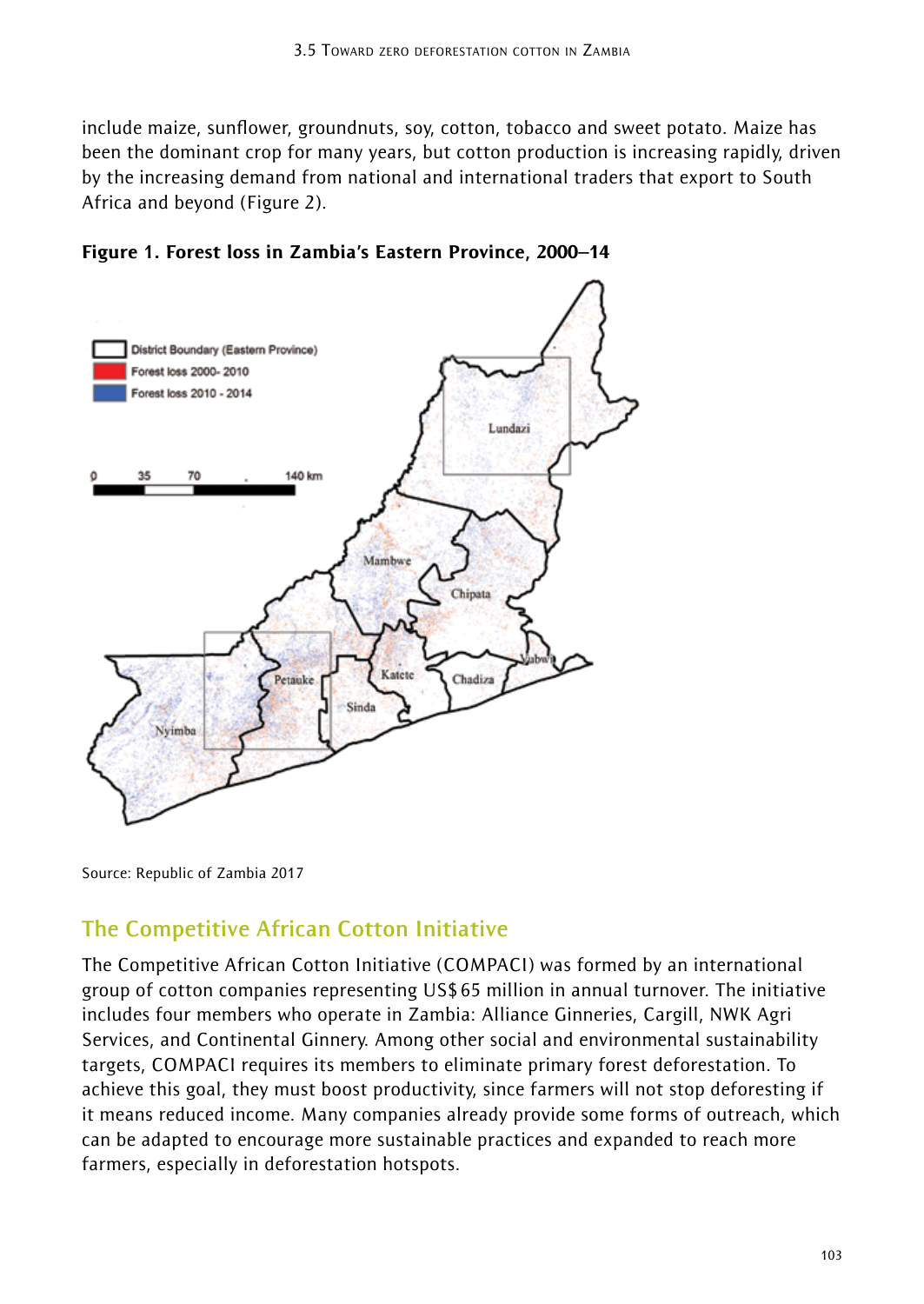include maize, sunflower, groundnuts, soy, cotton, tobacco and sweet potato. Maize has been the dominant crop for many years, but cotton production is increasing rapidly, driven by the increasing demand from national and international traders that export to South Africa and beyond (Figure 2).



Figure **1**. Forest loss in Zambia's Eastern Province, 2000–14

Source: Republic of Zambia 2017

### **The Competitive African Cotton Initiative**

The Competitive African Cotton Initiative (COMPACI) was formed by an international group of cotton companies representing US\$65 million in annual turnover. The initiative includes four members who operate in Zambia: Alliance Ginneries, Cargill, NWK Agri Services, and Continental Ginnery. Among other social and environmental sustainability targets, COMPACI requires its members to eliminate primary forest deforestation. To achieve this goal, they must boost productivity, since farmers will not stop deforesting if it means reduced income. Many companies already provide some forms of outreach, which can be adapted to encourage more sustainable practices and expanded to reach more farmers, especially in deforestation hotspots.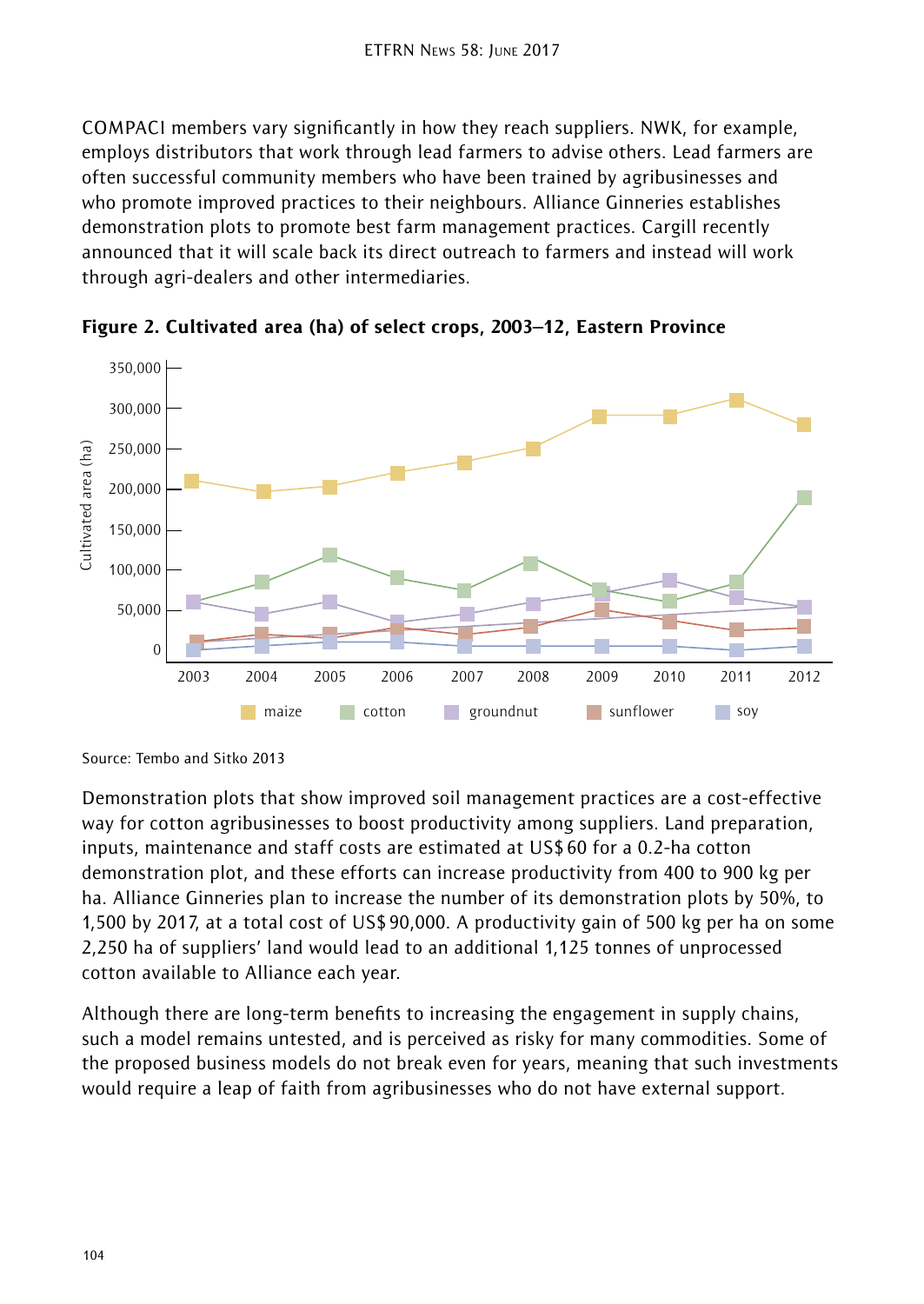COMPACI members vary significantly in how they reach suppliers. NWK, for example, employs distributors that work through lead farmers to advise others. Lead farmers are often successful community members who have been trained by agribusinesses and who promote improved practices to their neighbours. Alliance Ginneries establishes demonstration plots to promote best farm management practices. Cargill recently announced that it will scale back its direct outreach to farmers and instead will work through agri-dealers and other intermediaries.



Figure 2. Cultivated area (ha) of select crops, 2003–12, Eastern Province

Demonstration plots that show improved soil management practices are a cost-effective way for cotton agribusinesses to boost productivity among suppliers. Land preparation, inputs, maintenance and staff costs are estimated at US\$60 for a 0.2-ha cotton demonstration plot, and these efforts can increase productivity from 400 to 900 kg per ha. Alliance Ginneries plan to increase the number of its demonstration plots by 50%, to 1,500 by 2017, at a total cost of US\$90,000. A productivity gain of 500 kg per ha on some 2,250 ha of suppliers' land would lead to an additional 1,125 tonnes of unprocessed cotton available to Alliance each year.

Although there are long-term benefits to increasing the engagement in supply chains, such a model remains untested, and is perceived as risky for many commodities. Some of the proposed business models do not break even for years, meaning that such investments would require a leap of faith from agribusinesses who do not have external support.

Source: Tembo and Sitko 2013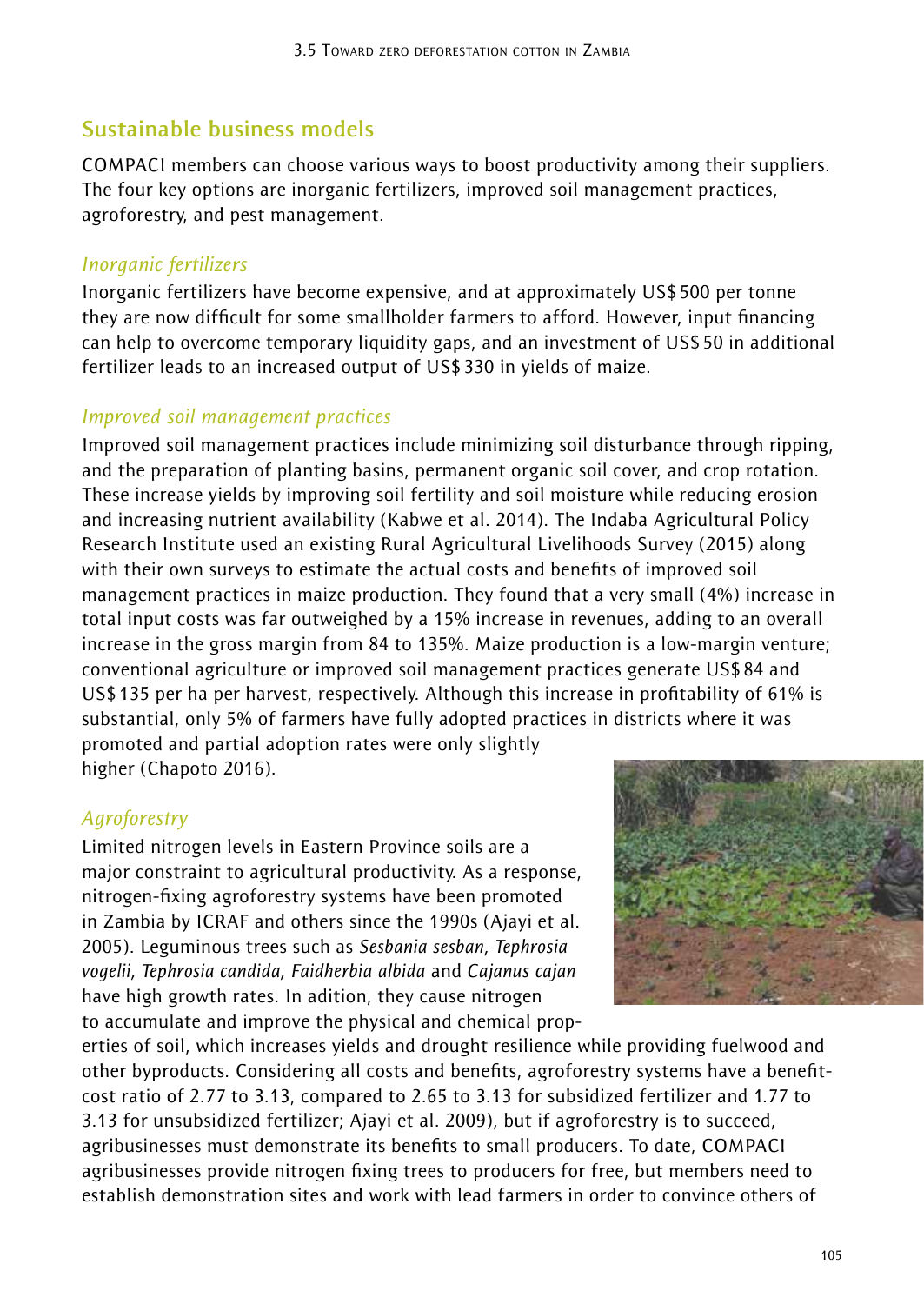## **Sustainable business models**

COMPACI members can choose various ways to boost productivity among their suppliers. The four key options are inorganic fertilizers, improved soil management practices, agroforestry, and pest management.

#### *Inorganic fertilizers*

Inorganic fertilizers have become expensive, and at approximately US\$500 per tonne they are now difficult for some smallholder farmers to afford. However, input financing can help to overcome temporary liquidity gaps, and an investment of US\$50 in additional fertilizer leads to an increased output of US\$330 in yields of maize.

#### *Improved soil management practices*

Improved soil management practices include minimizing soil disturbance through ripping, and the preparation of planting basins, permanent organic soil cover, and crop rotation. These increase yields by improving soil fertility and soil moisture while reducing erosion and increasing nutrient availability (Kabwe et al. 2014). The Indaba Agricultural Policy Research Institute used an existing Rural Agricultural Livelihoods Survey (2015) along with their own surveys to estimate the actual costs and benefits of improved soil management practices in maize production. They found that a very small (4%) increase in total input costs was far outweighed by a 15% increase in revenues, adding to an overall increase in the gross margin from 84 to 135%. Maize production is a low-margin venture; conventional agriculture or improved soil management practices generate US\$84 and US\$135 per ha per harvest, respectively. Although this increase in profitability of 61% is substantial, only 5% of farmers have fully adopted practices in districts where it was promoted and partial adoption rates were only slightly higher (Chapoto 2016).

#### *Agroforestry*

Limited nitrogen levels in Eastern Province soils are a major constraint to agricultural productivity. As a response, nitrogen-fixing agroforestry systems have been promoted in Zambia by ICRAF and others since the 1990s (Ajayi et al. 2005). Leguminous trees such as *Sesbania sesban, Tephrosia vogelii, Tephrosia candida, Faidherbia albida* and *Cajanus cajan*  have high growth rates. In adition, they cause nitrogen to accumulate and improve the physical and chemical prop-



erties of soil, which increases yields and drought resilience while providing fuelwood and other byproducts. Considering all costs and benefits, agroforestry systems have a benefitcost ratio of 2.77 to 3.13, compared to 2.65 to 3.13 for subsidized fertilizer and 1.77 to 3.13 for unsubsidized fertilizer; Ajayi et al. 2009), but if agroforestry is to succeed, agribusinesses must demonstrate its benefits to small producers. To date, COMPACI agribusinesses provide nitrogen fixing trees to producers for free, but members need to establish demonstration sites and work with lead farmers in order to convince others of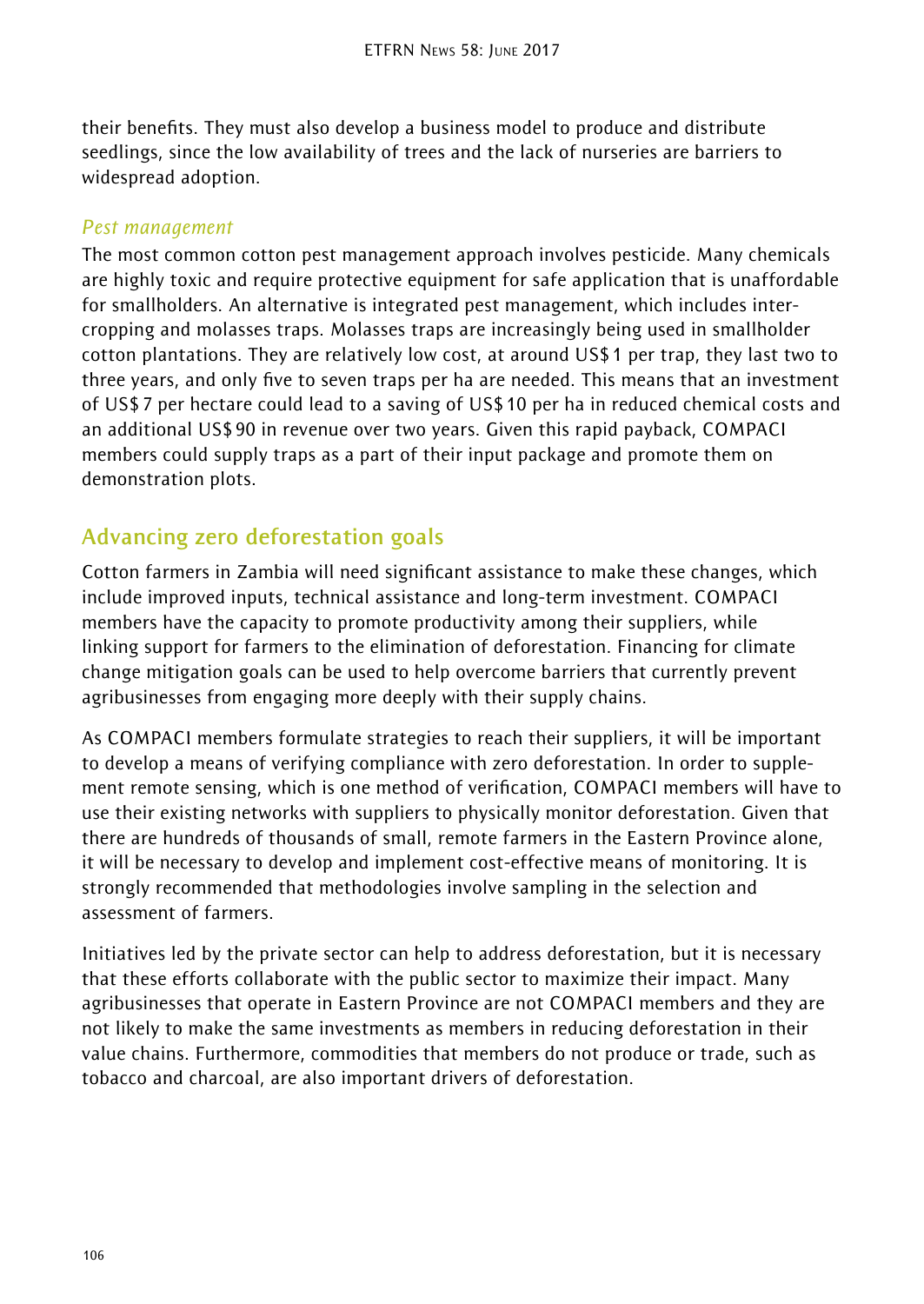their benefits. They must also develop a business model to produce and distribute seedlings, since the low availability of trees and the lack of nurseries are barriers to widespread adoption.

#### *Pest management*

The most common cotton pest management approach involves pesticide. Many chemicals are highly toxic and require protective equipment for safe application that is unaffordable for smallholders. An alternative is integrated pest management, which includes intercropping and molasses traps. Molasses traps are increasingly being used in smallholder cotton plantations. They are relatively low cost, at around US\$1 per trap, they last two to three years, and only five to seven traps per ha are needed. This means that an investment of US\$7 per hectare could lead to a saving of US\$10 per ha in reduced chemical costs and an additional US\$90 in revenue over two years. Given this rapid payback, COMPACI members could supply traps as a part of their input package and promote them on demonstration plots.

## **Advancing zero deforestation goals**

Cotton farmers in Zambia will need significant assistance to make these changes, which include improved inputs, technical assistance and long-term investment. COMPACI members have the capacity to promote productivity among their suppliers, while linking support for farmers to the elimination of deforestation. Financing for climate change mitigation goals can be used to help overcome barriers that currently prevent agribusinesses from engaging more deeply with their supply chains.

As COMPACI members formulate strategies to reach their suppliers, it will be important to develop a means of verifying compliance with zero deforestation. In order to supplement remote sensing, which is one method of verification, COMPACI members will have to use their existing networks with suppliers to physically monitor deforestation. Given that there are hundreds of thousands of small, remote farmers in the Eastern Province alone, it will be necessary to develop and implement cost-effective means of monitoring. It is strongly recommended that methodologies involve sampling in the selection and assessment of farmers.

Initiatives led by the private sector can help to address deforestation, but it is necessary that these efforts collaborate with the public sector to maximize their impact. Many agribusinesses that operate in Eastern Province are not COMPACI members and they are not likely to make the same investments as members in reducing deforestation in their value chains. Furthermore, commodities that members do not produce or trade, such as tobacco and charcoal, are also important drivers of deforestation.